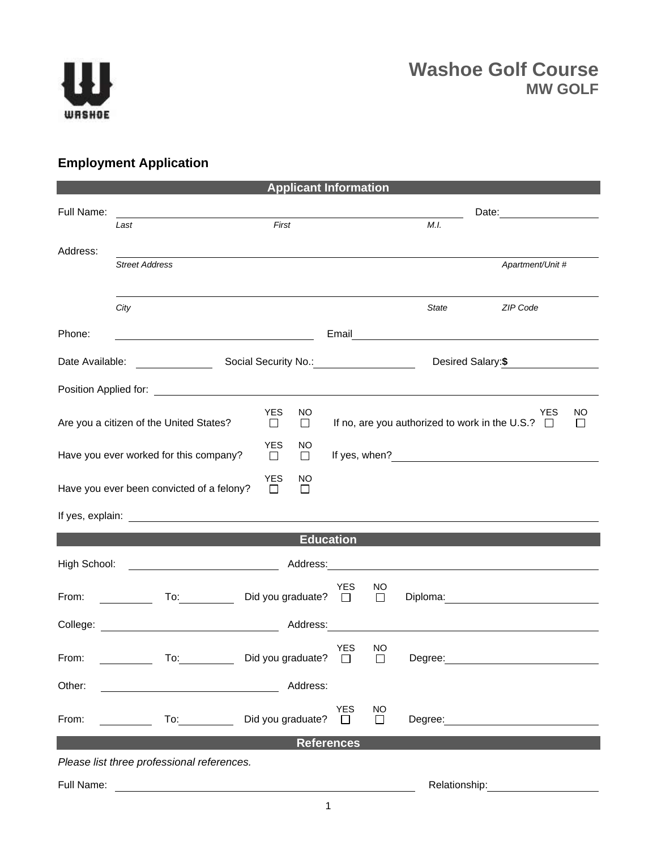

## **Employment Application**

| <b>Applicant Information</b>                                                                                                                                                                                                                         |                                                                                                                      |                                |                      |                     |               |                                                                     |               |  |
|------------------------------------------------------------------------------------------------------------------------------------------------------------------------------------------------------------------------------------------------------|----------------------------------------------------------------------------------------------------------------------|--------------------------------|----------------------|---------------------|---------------|---------------------------------------------------------------------|---------------|--|
| Full Name:                                                                                                                                                                                                                                           | <u> 1980 - Johann Barn, mars ann an t-Amhain Aonaich an t-Aonaich an t-Aonaich ann an t-Aonaich ann an t-Aonaich</u> |                                |                      |                     |               |                                                                     |               |  |
|                                                                                                                                                                                                                                                      | Last                                                                                                                 | First                          |                      |                     | M.I.          |                                                                     |               |  |
| Address:                                                                                                                                                                                                                                             |                                                                                                                      |                                |                      |                     |               |                                                                     |               |  |
|                                                                                                                                                                                                                                                      | <b>Street Address</b>                                                                                                |                                |                      |                     |               | Apartment/Unit #                                                    |               |  |
|                                                                                                                                                                                                                                                      | City                                                                                                                 |                                |                      |                     | State         | ZIP Code                                                            |               |  |
| Phone:                                                                                                                                                                                                                                               |                                                                                                                      |                                |                      |                     |               | Email <u>Communication</u>                                          |               |  |
| Date Available:                                                                                                                                                                                                                                      | $\overline{\phantom{a}}$                                                                                             | Social Security No.: 2000 2012 |                      |                     |               | Desired Salary: \$                                                  |               |  |
| Position Applied for: <u>contract the contract of the contract of the contract of the contract of the contract of the contract of the contract of the contract of the contract of the contract of the contract of the contract o</u>                 |                                                                                                                      |                                |                      |                     |               |                                                                     |               |  |
|                                                                                                                                                                                                                                                      | Are you a citizen of the United States?                                                                              | YES<br>NO<br>□<br>$\Box$       |                      |                     |               | <b>YES</b><br>If no, are you authorized to work in the U.S.? $\Box$ | NO<br>$\perp$ |  |
| <b>YES</b><br>NO<br>Have you ever worked for this company?<br>$\Box$<br>□                                                                                                                                                                            |                                                                                                                      |                                |                      |                     |               |                                                                     |               |  |
| <b>YES</b><br>NO.<br>Have you ever been convicted of a felony?<br>П<br>$\Box$                                                                                                                                                                        |                                                                                                                      |                                |                      |                     |               |                                                                     |               |  |
|                                                                                                                                                                                                                                                      |                                                                                                                      |                                |                      |                     |               |                                                                     |               |  |
| <b>Education</b>                                                                                                                                                                                                                                     |                                                                                                                      |                                |                      |                     |               |                                                                     |               |  |
| High School:<br>Address: <u>Contract of the Contract of the Contract of the Contract of the Contract of the Contract of the Contract of the Contract of the Contract of the Contract of the Contract of the Contract of the Contract of the Cont</u> |                                                                                                                      |                                |                      |                     |               |                                                                     |               |  |
| From:                                                                                                                                                                                                                                                | $\mathsf{To:}\qquad\qquad\qquad\qquad\qquad$                                                                         | Did you graduate? $\Box$       | <b>YES</b>           | NO<br>$\Box$        |               | Diploma: <u>____________________</u>                                |               |  |
| College:                                                                                                                                                                                                                                             |                                                                                                                      | Address:                       |                      |                     |               |                                                                     |               |  |
| From:                                                                                                                                                                                                                                                | To:                                                                                                                  | Did you graduate?              | <b>YES</b><br>$\Box$ | NO<br>$\Box$        | Degree:       |                                                                     |               |  |
| Other:                                                                                                                                                                                                                                               |                                                                                                                      | Address:                       |                      |                     |               |                                                                     |               |  |
| From:                                                                                                                                                                                                                                                | To:                                                                                                                  | Did you graduate?              | <b>YES</b><br>П      | <b>NO</b><br>$\Box$ | Degree:       |                                                                     |               |  |
| <b>References</b>                                                                                                                                                                                                                                    |                                                                                                                      |                                |                      |                     |               |                                                                     |               |  |
|                                                                                                                                                                                                                                                      | Please list three professional references.                                                                           |                                |                      |                     |               |                                                                     |               |  |
| Full Name:                                                                                                                                                                                                                                           |                                                                                                                      |                                |                      |                     | Relationship: |                                                                     |               |  |